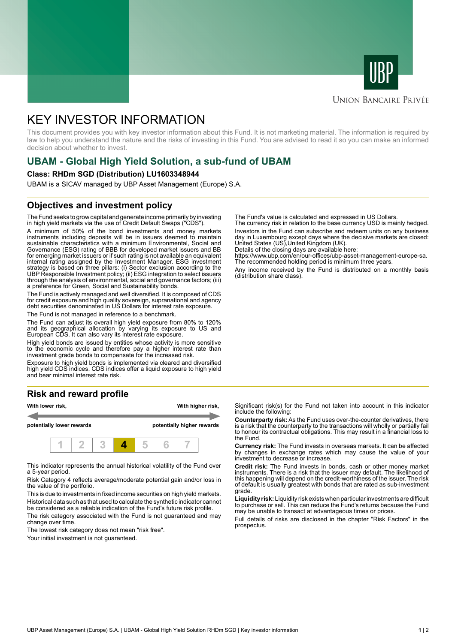



# **UNION BANCAIRE PRIVÉE**

# KEY INVESTOR INFORMATION

This document provides you with key investor information about this Fund. It is not marketing material. The information is required by law to help you understand the nature and the risks of investing in this Fund. You are advised to read it so you can make an informed decision about whether to invest.

# **UBAM - Global High Yield Solution, a sub-fund of UBAM**

#### **Class: RHDm SGD (Distribution) LU1603348944**

UBAM is a SICAV managed by UBP Asset Management (Europe) S.A.

# **Objectives and investment policy**

The Fund seeks to grow capital and generate income primarily by investing in high yield markets via the use of Credit Default Swaps ("CDS").

A minimum of 50% of the bond investments and money markets instruments including deposits will be in issuers deemed to maintain sustainable characteristics with a minimum Environmental, Social and Governance (ESG) rating of BBB for developed market issuers and BB for emerging market issuers or if such rating is not available an equivalent internal rating assigned by the Investment Manager. ESG investment strategy is based on three pillars: (i) Sector exclusion according to the UBP Responsible Investment policy; (ii) ESG integration to select issuers through the analysis of environmental, social and governance factors; (iii) a preference for Green, Social and Sustainability bonds.

The Fund is actively managed and well diversified. It is composed of CDS for credit exposure and high quality sovereign, supranational and agency debt securities denominated in US Dollars for interest rate exposure.

The Fund is not managed in reference to a benchmark.

The Fund can adjust its overall high yield exposure from 80% to 120% and its geographical allocation by varying its exposure to US and European CDS. It can also vary its interest rate exposure.

High yield bonds are issued by entities whose activity is more sensitive to the economic cycle and therefore pay a higher interest rate than investment grade bonds to compensate for the increased risk.

Exposure to high yield bonds is implemented via cleared and diversified high yield CDS indices. CDS indices offer a liquid exposure to high yield and bear minimal interest rate risk.

# **Risk and reward profile**



This indicator represents the annual historical volatility of the Fund over a 5-year period.

Risk Category 4 reflects average/moderate potential gain and/or loss in the value of the portfolio.

This is due to investments in fixed income securities on high yield markets. Historical data such as that used to calculate the synthetic indicator cannot be considered as a reliable indication of the Fund's future risk profile. The risk category associated with the Fund is not guaranteed and may

change over time.

The lowest risk category does not mean "risk free".

Your initial investment is not guaranteed.

The Fund's value is calculated and expressed in US Dollars.

The currency risk in relation to the base currency USD is mainly hedged. Investors in the Fund can subscribe and redeem units on any business day in Luxembourg except days where the decisive markets are closed: United States (US),United Kingdom (UK).

Details of the closing days are available here: https://www.ubp.com/en/our-offices/ubp-asset-management-europe-sa.

The recommended holding period is minimum three years.

Any income received by the Fund is distributed on a monthly basis (distribution share class).

Significant risk(s) for the Fund not taken into account in this indicator include the following:

**Counterparty risk:** As the Fund uses over-the-counter derivatives, there is a risk that the counterparty to the transactions will wholly or partially fail to honour its contractual obligations. This may result in a financial loss to the Fund.

**Currency risk:** The Fund invests in overseas markets. It can be affected by changes in exchange rates which may cause the value of your investment to decrease or increase.

**Credit risk:** The Fund invests in bonds, cash or other money market instruments. There is a risk that the issuer may default. The likelihood of this happening will depend on the credit-worthiness of the issuer. The risk of default is usually greatest with bonds that are rated as sub-investment grade.

**Liquidity risk:** Liquidity risk exists when particular investments are difficult to purchase or sell. This can reduce the Fund's returns because the Fund may be unable to transact at advantageous times or prices.

Full details of risks are disclosed in the chapter "Risk Factors" in the prospectus.